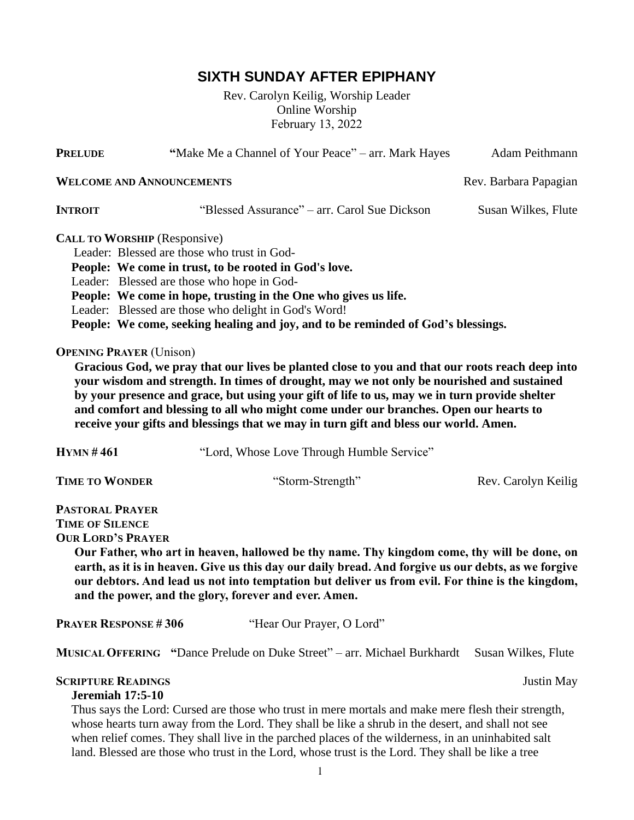# **SIXTH SUNDAY AFTER EPIPHANY**

Rev. Carolyn Keilig, Worship Leader Online Worship February 13, 2022

| <b>PRELUDE</b>                      | "Make Me a Channel of Your Peace" – arr. Mark Hayes                                             | Adam Peithmann      |  |  |  |
|-------------------------------------|-------------------------------------------------------------------------------------------------|---------------------|--|--|--|
| <b>WELCOME AND ANNOUNCEMENTS</b>    | Rev. Barbara Papagian                                                                           |                     |  |  |  |
| <b>INTROIT</b>                      | "Blessed Assurance" – arr. Carol Sue Dickson                                                    | Susan Wilkes, Flute |  |  |  |
| <b>CALL TO WORSHIP (Responsive)</b> |                                                                                                 |                     |  |  |  |
|                                     | Leader: Blessed are those who trust in God-                                                     |                     |  |  |  |
|                                     | People: We come in trust, to be rooted in God's love.                                           |                     |  |  |  |
|                                     | Leader: Blessed are those who hope in God-                                                      |                     |  |  |  |
|                                     | People: We come in hope, trusting in the One who gives us life.                                 |                     |  |  |  |
|                                     | Leader: Blessed are those who delight in God's Word!                                            |                     |  |  |  |
|                                     | People: We come, seeking healing and joy, and to be reminded of God's blessings.                |                     |  |  |  |
|                                     | <b>OPENING PRAYER (Unison)</b>                                                                  |                     |  |  |  |
|                                     | Gracious God, we pray that our lives be planted close to you and that our roots reach deep into |                     |  |  |  |

 **your wisdom and strength. In times of drought, may we not only be nourished and sustained by your presence and grace, but using your gift of life to us, may we in turn provide shelter and comfort and blessing to all who might come under our branches. Open our hearts to receive your gifts and blessings that we may in turn gift and bless our world. Amen.**

| <b>HYMN#461</b> | "Lord, Whose Love Through Humble Service" |  |
|-----------------|-------------------------------------------|--|
|-----------------|-------------------------------------------|--|

**TIME TO WONDER** "Storm-Strength" Rev. Carolyn Keilig

**PASTORAL PRAYER TIME OF SILENCE OUR LORD'S PRAYER**

> **Our Father, who art in heaven, hallowed be thy name. Thy kingdom come, thy will be done, on** earth, as it is in heaven. Give us this day our daily bread. And forgive us our debts, as we forgive **our debtors. And lead us not into temptation but deliver us from evil. For thine is the kingdom, and the power, and the glory, forever and ever. Amen.**

**PRAYER RESPONSE # 306** "Hear Our Prayer, O Lord"

**MUSICALOFFERING "**Dance Prelude on Duke Street" – arr. Michael Burkhardt Susan Wilkes, Flute

#### **SCRIPTURE READINGS** Justin May

 **Jeremiah 17:5-10**

 Thus says the Lord: Cursed are those who trust in mere mortals and make mere flesh their strength, whose hearts turn away from the Lord. They shall be like a shrub in the desert, and shall not see when relief comes. They shall live in the parched places of the wilderness, in an uninhabited salt land. Blessed are those who trust in the Lord, whose trust is the Lord. They shall be like a tree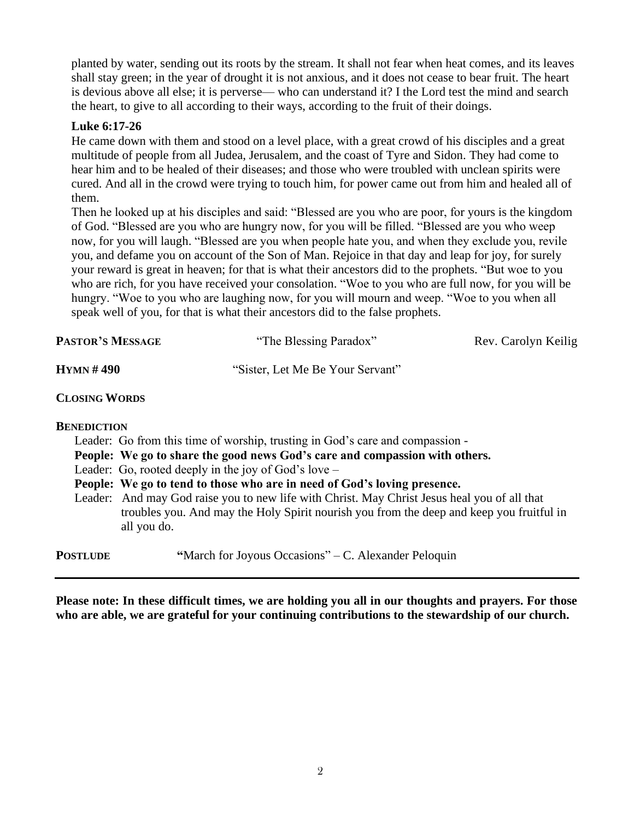planted by water, sending out its roots by the stream. It shall not fear when heat comes, and its leaves shall stay green; in the year of drought it is not anxious, and it does not cease to bear fruit. The heart is devious above all else; it is perverse— who can understand it? I the Lord test the mind and search the heart, to give to all according to their ways, according to the fruit of their doings.

## **Luke 6:17-26**

 He came down with them and stood on a level place, with a great crowd of his disciples and a great multitude of people from all Judea, Jerusalem, and the coast of Tyre and Sidon. They had come to hear him and to be healed of their diseases; and those who were troubled with unclean spirits were cured. And all in the crowd were trying to touch him, for power came out from him and healed all of them.

 Then he looked up at his disciples and said: "Blessed are you who are poor, for yours is the kingdom of God. "Blessed are you who are hungry now, for you will be filled. "Blessed are you who weep now, for you will laugh. "Blessed are you when people hate you, and when they exclude you, revile you, and defame you on account of the Son of Man. Rejoice in that day and leap for joy, for surely your reward is great in heaven; for that is what their ancestors did to the prophets. "But woe to you who are rich, for you have received your consolation. "Woe to you who are full now, for you will be hungry. "Woe to you who are laughing now, for you will mourn and weep. "Woe to you when all speak well of you, for that is what their ancestors did to the false prophets.

| <b>PASTOR'S MESSAGE</b> | "The Blessing Paradox"           | Rev. Carolyn Keilig |
|-------------------------|----------------------------------|---------------------|
| $H$ YMN $#490$          | "Sister, Let Me Be Your Servant" |                     |

**CLOSING WORDS**

### **BENEDICTION**

Leader: Go from this time of worship, trusting in God's care and compassion -

 **People: We go to share the good news God's care and compassion with others.**

Leader: Go, rooted deeply in the joy of God's love –

 **People: We go to tend to those who are in need of God's loving presence.**

 Leader: And may God raise you to new life with Christ. May Christ Jesus heal you of all that troubles you. And may the Holy Spirit nourish you from the deep and keep you fruitful in all you do.

**POSTLUDE** "March for Joyous Occasions" – C. Alexander Peloquin

**Please note: In these difficult times, we are holding you all in our thoughts and prayers. For those who are able, we are grateful for your continuing contributions to the stewardship of our church.**